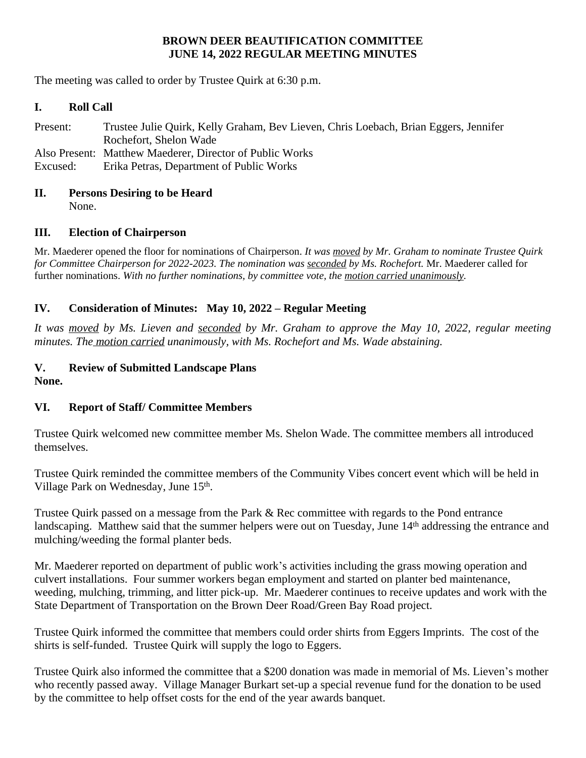### **BROWN DEER BEAUTIFICATION COMMITTEE JUNE 14, 2022 REGULAR MEETING MINUTES**

The meeting was called to order by Trustee Quirk at 6:30 p.m.

#### **I. Roll Call**

Present: Trustee Julie Quirk, Kelly Graham, Bev Lieven, Chris Loebach, Brian Eggers, Jennifer Rochefort, Shelon Wade Also Present: Matthew Maederer, Director of Public Works Excused: Erika Petras, Department of Public Works

# **II. Persons Desiring to be Heard**

None.

### **III. Election of Chairperson**

Mr. Maederer opened the floor for nominations of Chairperson. *It was moved by Mr. Graham to nominate Trustee Quirk for Committee Chairperson for 2022-2023. The nomination was seconded by Ms. Rochefort.* Mr. Maederer called for further nominations. *With no further nominations, by committee vote, the motion carried unanimously.*

### **IV. Consideration of Minutes: May 10, 2022 – Regular Meeting**

It was moved by Ms. Lieven and seconded by Mr. Graham to approve the May 10, 2022, regular meeting *minutes. The motion carried unanimously, with Ms. Rochefort and Ms. Wade abstaining.*

#### **V. Review of Submitted Landscape Plans None.**

#### **VI. Report of Staff/ Committee Members**

Trustee Quirk welcomed new committee member Ms. Shelon Wade. The committee members all introduced themselves.

Trustee Quirk reminded the committee members of the Community Vibes concert event which will be held in Village Park on Wednesday, June 15th.

Trustee Quirk passed on a message from the Park & Rec committee with regards to the Pond entrance landscaping. Matthew said that the summer helpers were out on Tuesday, June 14<sup>th</sup> addressing the entrance and mulching/weeding the formal planter beds.

Mr. Maederer reported on department of public work's activities including the grass mowing operation and culvert installations. Four summer workers began employment and started on planter bed maintenance, weeding, mulching, trimming, and litter pick-up. Mr. Maederer continues to receive updates and work with the State Department of Transportation on the Brown Deer Road/Green Bay Road project.

Trustee Quirk informed the committee that members could order shirts from Eggers Imprints. The cost of the shirts is self-funded. Trustee Quirk will supply the logo to Eggers.

Trustee Quirk also informed the committee that a \$200 donation was made in memorial of Ms. Lieven's mother who recently passed away. Village Manager Burkart set-up a special revenue fund for the donation to be used by the committee to help offset costs for the end of the year awards banquet.